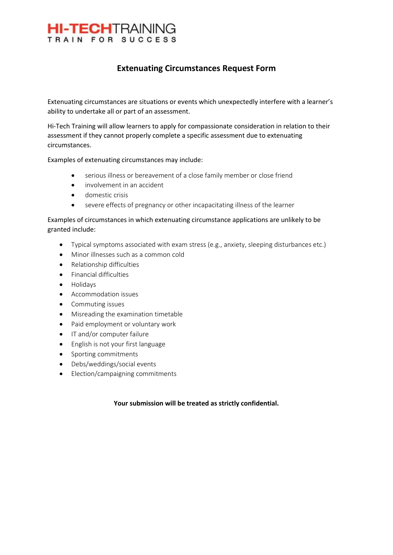

### **Extenuating Circumstances Request Form**

Extenuating circumstances are situations or events which unexpectedly interfere with a learner's ability to undertake all or part of an assessment.

Hi-Tech Training will allow learners to apply for compassionate consideration in relation to their assessment if they cannot properly complete a specific assessment due to extenuating circumstances.

Examples of extenuating circumstances may include:

- serious illness or bereavement of a close family member or close friend
- involvement in an accident
- domestic crisis
- severe effects of pregnancy or other incapacitating illness of the learner

Examples of circumstances in which extenuating circumstance applications are unlikely to be granted include:

- Typical symptoms associated with exam stress (e.g., anxiety, sleeping disturbances etc.)
- Minor illnesses such as a common cold
- Relationship difficulties
- Financial difficulties
- Holidays
- Accommodation issues
- Commuting issues
- Misreading the examination timetable
- Paid employment or voluntary work
- IT and/or computer failure
- English is not your first language
- Sporting commitments
- Debs/weddings/social events
- Election/campaigning commitments

#### **Your submission will be treated as strictly confidential.**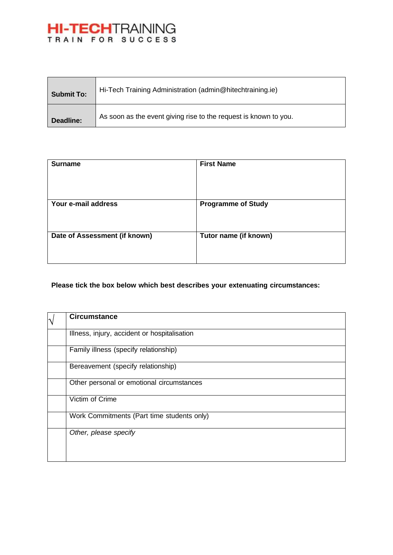## **HI-TECH**TRAINING

| <b>Submit To:</b> | Hi-Tech Training Administration (admin@hitechtraining.ie)        |
|-------------------|------------------------------------------------------------------|
| Deadline:         | As soon as the event giving rise to the request is known to you. |

| <b>Surname</b>                | <b>First Name</b>         |
|-------------------------------|---------------------------|
| Your e-mail address           | <b>Programme of Study</b> |
| Date of Assessment (if known) | Tutor name (if known)     |

#### **Please tick the box below which best describes your extenuating circumstances:**

| $\overline{\mathcal{N}}$ | <b>Circumstance</b>                          |
|--------------------------|----------------------------------------------|
|                          | Illness, injury, accident or hospitalisation |
|                          | Family illness (specify relationship)        |
|                          | Bereavement (specify relationship)           |
|                          | Other personal or emotional circumstances    |
|                          | Victim of Crime                              |
|                          | Work Commitments (Part time students only)   |
|                          | Other, please specify                        |
|                          |                                              |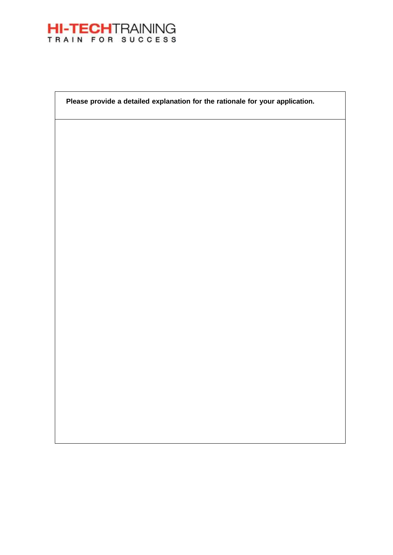

**Please provide a detailed explanation for the rationale for your application.**